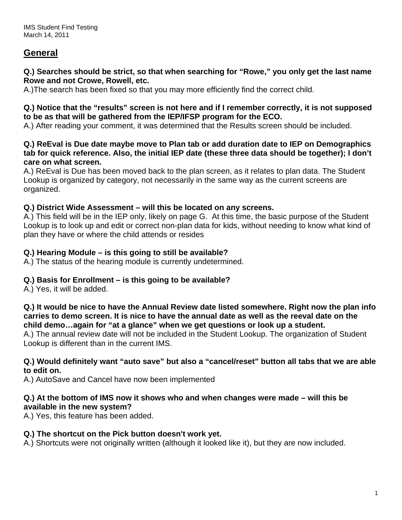# **General**

#### **Q.) Searches should be strict, so that when searching for "Rowe," you only get the last name Rowe and not Crowe, Rowell, etc.**

A.)The search has been fixed so that you may more efficiently find the correct child.

#### **Q.) Notice that the "results" screen is not here and if I remember correctly, it is not supposed to be as that will be gathered from the IEP/IFSP program for the ECO.**

A.) After reading your comment, it was determined that the Results screen should be included.

#### **Q.) ReEval is Due date maybe move to Plan tab or add duration date to IEP on Demographics tab for quick reference. Also, the initial IEP date (these three data should be together); I don't care on what screen.**

A.) ReEval is Due has been moved back to the plan screen, as it relates to plan data. The Student Lookup is organized by category, not necessarily in the same way as the current screens are organized.

## **Q.) District Wide Assessment – will this be located on any screens.**

A.) This field will be in the IEP only, likely on page G. At this time, the basic purpose of the Student Lookup is to look up and edit or correct non-plan data for kids, without needing to know what kind of plan they have or where the child attends or resides

## **Q.) Hearing Module – is this going to still be available?**

A.) The status of the hearing module is currently undetermined.

# **Q.) Basis for Enrollment – is this going to be available?**

A.) Yes, it will be added.

**Q.) It would be nice to have the Annual Review date listed somewhere. Right now the plan info carries to demo screen. It is nice to have the annual date as well as the reeval date on the child demo…again for "at a glance" when we get questions or look up a student.** 

A.) The annual review date will not be included in the Student Lookup. The organization of Student Lookup is different than in the current IMS.

#### **Q.) Would definitely want "auto save" but also a "cancel/reset" button all tabs that we are able to edit on.**

A.) AutoSave and Cancel have now been implemented

#### **Q.) At the bottom of IMS now it shows who and when changes were made – will this be available in the new system?**

A.) Yes, this feature has been added.

## **Q.) The shortcut on the Pick button doesn't work yet.**

A.) Shortcuts were not originally written (although it looked like it), but they are now included.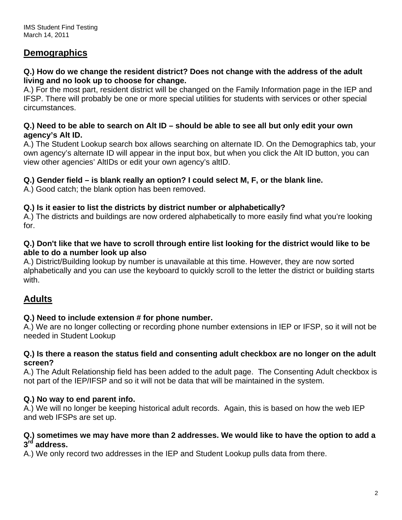# **Demographics**

#### **Q.) How do we change the resident district? Does not change with the address of the adult living and no look up to choose for change.**

A.) For the most part, resident district will be changed on the Family Information page in the IEP and IFSP. There will probably be one or more special utilities for students with services or other special circumstances.

#### **Q.) Need to be able to search on Alt ID – should be able to see all but only edit your own agency's Alt ID.**

A.) The Student Lookup search box allows searching on alternate ID. On the Demographics tab, your own agency's alternate ID will appear in the input box, but when you click the Alt ID button, you can view other agencies' AltIDs or edit your own agency's altID.

## **Q.) Gender field – is blank really an option? I could select M, F, or the blank line.**

A.) Good catch; the blank option has been removed.

## **Q.) Is it easier to list the districts by district number or alphabetically?**

A.) The districts and buildings are now ordered alphabetically to more easily find what you're looking for.

## **Q.) Don't like that we have to scroll through entire list looking for the district would like to be able to do a number look up also**

A.) District/Building lookup by number is unavailable at this time. However, they are now sorted alphabetically and you can use the keyboard to quickly scroll to the letter the district or building starts with.

# **Adults**

## **Q.) Need to include extension # for phone number.**

A.) We are no longer collecting or recording phone number extensions in IEP or IFSP, so it will not be needed in Student Lookup

#### **Q.) Is there a reason the status field and consenting adult checkbox are no longer on the adult screen?**

A.) The Adult Relationship field has been added to the adult page. The Consenting Adult checkbox is not part of the IEP/IFSP and so it will not be data that will be maintained in the system.

## **Q.) No way to end parent info.**

A.) We will no longer be keeping historical adult records. Again, this is based on how the web IEP and web IFSPs are set up.

#### **Q.) sometimes we may have more than 2 addresses. We would like to have the option to add a 3rd address.**

A.) We only record two addresses in the IEP and Student Lookup pulls data from there.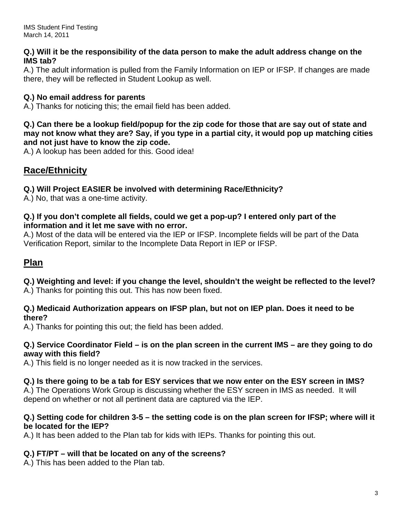#### **Q.) Will it be the responsibility of the data person to make the adult address change on the IMS tab?**

A.) The adult information is pulled from the Family Information on IEP or IFSP. If changes are made there, they will be reflected in Student Lookup as well.

# **Q.) No email address for parents**

A.) Thanks for noticing this; the email field has been added.

#### **Q.) Can there be a lookup field/popup for the zip code for those that are say out of state and may not know what they are? Say, if you type in a partial city, it would pop up matching cities and not just have to know the zip code.**

A.) A lookup has been added for this. Good idea!

# **Race/Ethnicity**

# **Q.) Will Project EASIER be involved with determining Race/Ethnicity?**

A.) No, that was a one-time activity.

#### **Q.) If you don't complete all fields, could we get a pop-up? I entered only part of the information and it let me save with no error.**

A.) Most of the data will be entered via the IEP or IFSP. Incomplete fields will be part of the Data Verification Report, similar to the Incomplete Data Report in IEP or IFSP.

# **Plan**

**Q.) Weighting and level: if you change the level, shouldn't the weight be reflected to the level?** 

A.) Thanks for pointing this out. This has now been fixed.

#### **Q.) Medicaid Authorization appears on IFSP plan, but not on IEP plan. Does it need to be there?**

A.) Thanks for pointing this out; the field has been added.

#### **Q.) Service Coordinator Field – is on the plan screen in the current IMS – are they going to do away with this field?**

A.) This field is no longer needed as it is now tracked in the services.

# **Q.) Is there going to be a tab for ESY services that we now enter on the ESY screen in IMS?**

A.) The Operations Work Group is discussing whether the ESY screen in IMS as needed. It will depend on whether or not all pertinent data are captured via the IEP.

## **Q.) Setting code for children 3-5 – the setting code is on the plan screen for IFSP; where will it be located for the IEP?**

A.) It has been added to the Plan tab for kids with IEPs. Thanks for pointing this out.

## **Q.) FT/PT – will that be located on any of the screens?**

A.) This has been added to the Plan tab.